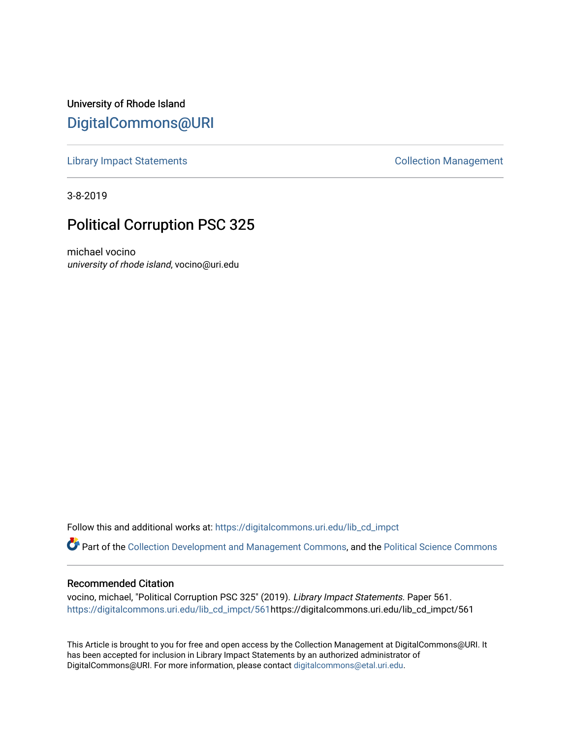University of Rhode Island [DigitalCommons@URI](https://digitalcommons.uri.edu/) 

[Library Impact Statements](https://digitalcommons.uri.edu/lib_cd_impct) **Collection Management** 

3-8-2019

## Political Corruption PSC 325

michael vocino university of rhode island, vocino@uri.edu

Follow this and additional works at: [https://digitalcommons.uri.edu/lib\\_cd\\_impct](https://digitalcommons.uri.edu/lib_cd_impct?utm_source=digitalcommons.uri.edu%2Flib_cd_impct%2F561&utm_medium=PDF&utm_campaign=PDFCoverPages) 

Part of the [Collection Development and Management Commons,](http://network.bepress.com/hgg/discipline/1271?utm_source=digitalcommons.uri.edu%2Flib_cd_impct%2F561&utm_medium=PDF&utm_campaign=PDFCoverPages) and the [Political Science Commons](http://network.bepress.com/hgg/discipline/386?utm_source=digitalcommons.uri.edu%2Flib_cd_impct%2F561&utm_medium=PDF&utm_campaign=PDFCoverPages)

## Recommended Citation

vocino, michael, "Political Corruption PSC 325" (2019). Library Impact Statements. Paper 561. [https://digitalcommons.uri.edu/lib\\_cd\\_impct/561](https://digitalcommons.uri.edu/lib_cd_impct/561?utm_source=digitalcommons.uri.edu%2Flib_cd_impct%2F561&utm_medium=PDF&utm_campaign=PDFCoverPages)https://digitalcommons.uri.edu/lib\_cd\_impct/561

This Article is brought to you for free and open access by the Collection Management at DigitalCommons@URI. It has been accepted for inclusion in Library Impact Statements by an authorized administrator of DigitalCommons@URI. For more information, please contact [digitalcommons@etal.uri.edu.](mailto:digitalcommons@etal.uri.edu)